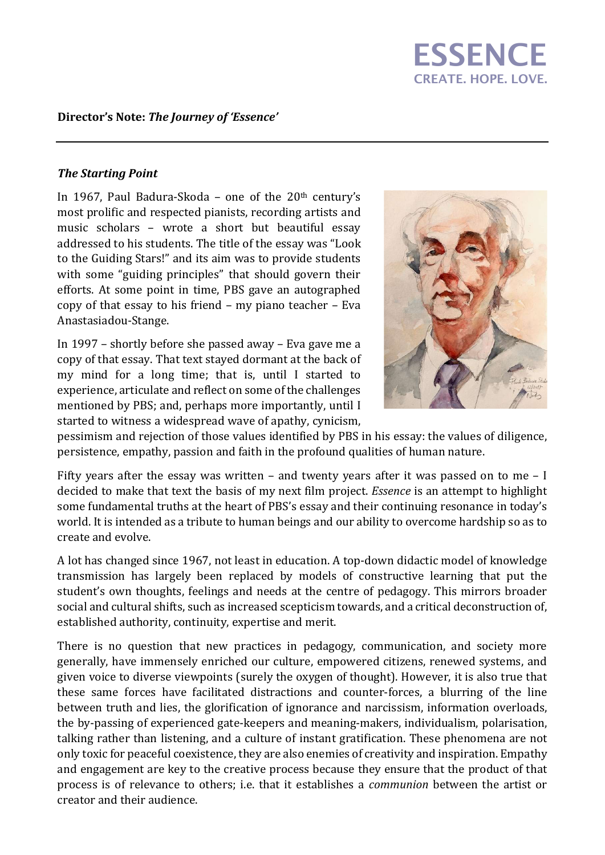# **ESSENCE** CREATE. HOPE. LOVE.

### Director's Note: The Journey of 'Essence'

#### The Starting Point

In 1967, Paul Badura-Skoda – one of the  $20<sup>th</sup>$  century's most prolific and respected pianists, recording artists and music scholars – wrote a short but beautiful essay addressed to his students. The title of the essay was "Look to the Guiding Stars!" and its aim was to provide students with some "guiding principles" that should govern their efforts. At some point in time, PBS gave an autographed copy of that essay to his friend – my piano teacher – Eva Anastasiadou-Stange.

In 1997 – shortly before she passed away – Eva gave me a copy of that essay. That text stayed dormant at the back of my mind for a long time; that is, until I started to experience, articulate and reflect on some of the challenges mentioned by PBS; and, perhaps more importantly, until I started to witness a widespread wave of apathy, cynicism,



pessimism and rejection of those values identified by PBS in his essay: the values of diligence, persistence, empathy, passion and faith in the profound qualities of human nature.

Fifty years after the essay was written – and twenty years after it was passed on to me – I decided to make that text the basis of my next film project. *Essence* is an attempt to highlight some fundamental truths at the heart of PBS's essay and their continuing resonance in today's world. It is intended as a tribute to human beings and our ability to overcome hardship so as to create and evolve.

A lot has changed since 1967, not least in education. A top-down didactic model of knowledge transmission has largely been replaced by models of constructive learning that put the student's own thoughts, feelings and needs at the centre of pedagogy. This mirrors broader social and cultural shifts, such as increased scepticism towards, and a critical deconstruction of, established authority, continuity, expertise and merit.

There is no question that new practices in pedagogy, communication, and society more generally, have immensely enriched our culture, empowered citizens, renewed systems, and given voice to diverse viewpoints (surely the oxygen of thought). However, it is also true that these same forces have facilitated distractions and counter-forces, a blurring of the line between truth and lies, the glorification of ignorance and narcissism, information overloads, the by-passing of experienced gate-keepers and meaning-makers, individualism, polarisation, talking rather than listening, and a culture of instant gratification. These phenomena are not only toxic for peaceful coexistence, they are also enemies of creativity and inspiration. Empathy and engagement are key to the creative process because they ensure that the product of that process is of relevance to others; i.e. that it establishes a communion between the artist or creator and their audience.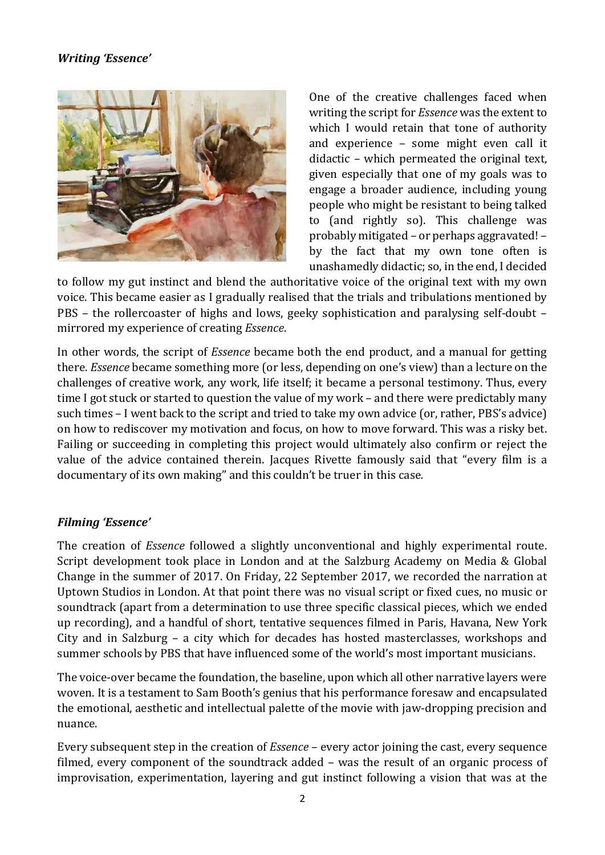## Writing 'Essence'



One of the creative challenges faced when writing the script for Essence was the extent to which I would retain that tone of authority and experience – some might even call it didactic – which permeated the original text, given especially that one of my goals was to engage a broader audience, including young people who might be resistant to being talked to (and rightly so). This challenge was probably mitigated – or perhaps aggravated! – by the fact that my own tone often is unashamedly didactic; so, in the end, I decided

to follow my gut instinct and blend the authoritative voice of the original text with my own voice. This became easier as I gradually realised that the trials and tribulations mentioned by PBS – the rollercoaster of highs and lows, geeky sophistication and paralysing self-doubt – mirrored my experience of creating Essence.

In other words, the script of Essence became both the end product, and a manual for getting there. Essence became something more (or less, depending on one's view) than a lecture on the challenges of creative work, any work, life itself; it became a personal testimony. Thus, every time I got stuck or started to question the value of my work – and there were predictably many such times – I went back to the script and tried to take my own advice (or, rather, PBS's advice) on how to rediscover my motivation and focus, on how to move forward. This was a risky bet. Failing or succeeding in completing this project would ultimately also confirm or reject the value of the advice contained therein. Jacques Rivette famously said that "every film is a documentary of its own making" and this couldn't be truer in this case.

## Filming 'Essence'

The creation of Essence followed a slightly unconventional and highly experimental route. Script development took place in London and at the Salzburg Academy on Media & Global Change in the summer of 2017. On Friday, 22 September 2017, we recorded the narration at Uptown Studios in London. At that point there was no visual script or fixed cues, no music or soundtrack (apart from a determination to use three specific classical pieces, which we ended up recording), and a handful of short, tentative sequences filmed in Paris, Havana, New York City and in Salzburg – a city which for decades has hosted masterclasses, workshops and summer schools by PBS that have influenced some of the world's most important musicians.

The voice-over became the foundation, the baseline, upon which all other narrative layers were woven. It is a testament to Sam Booth's genius that his performance foresaw and encapsulated the emotional, aesthetic and intellectual palette of the movie with jaw-dropping precision and nuance.

Every subsequent step in the creation of Essence – every actor joining the cast, every sequence filmed, every component of the soundtrack added – was the result of an organic process of improvisation, experimentation, layering and gut instinct following a vision that was at the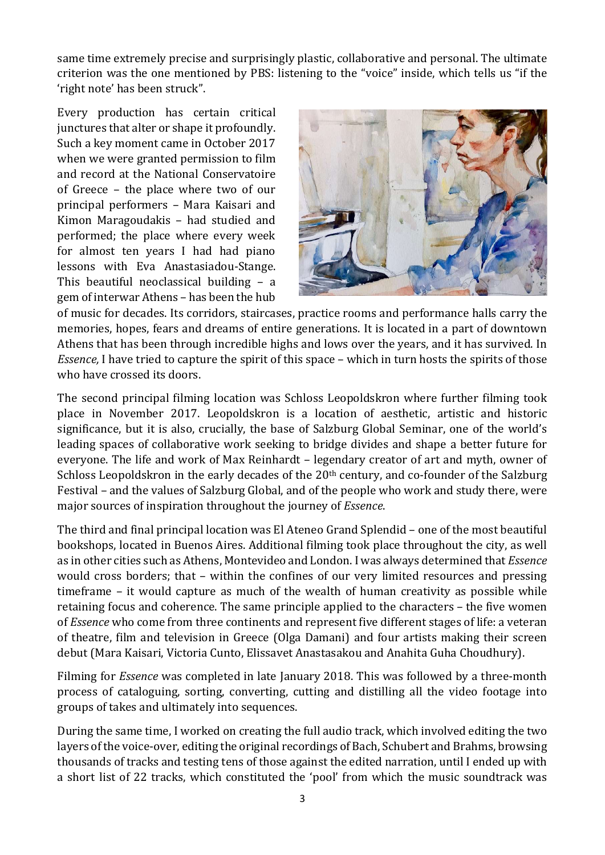same time extremely precise and surprisingly plastic, collaborative and personal. The ultimate criterion was the one mentioned by PBS: listening to the "voice" inside, which tells us "if the 'right note' has been struck".

Every production has certain critical junctures that alter or shape it profoundly. Such a key moment came in October 2017 when we were granted permission to film and record at the National Conservatoire of Greece – the place where two of our principal performers – Mara Kaisari and Kimon Maragoudakis – had studied and performed; the place where every week for almost ten years I had had piano lessons with Eva Anastasiadou-Stange. This beautiful neoclassical building – a gem of interwar Athens – has been the hub



of music for decades. Its corridors, staircases, practice rooms and performance halls carry the memories, hopes, fears and dreams of entire generations. It is located in a part of downtown Athens that has been through incredible highs and lows over the years, and it has survived. In Essence, I have tried to capture the spirit of this space – which in turn hosts the spirits of those who have crossed its doors.

The second principal filming location was Schloss Leopoldskron where further filming took place in November 2017. Leopoldskron is a location of aesthetic, artistic and historic significance, but it is also, crucially, the base of Salzburg Global Seminar, one of the world's leading spaces of collaborative work seeking to bridge divides and shape a better future for everyone. The life and work of Max Reinhardt – legendary creator of art and myth, owner of Schloss Leopoldskron in the early decades of the 20<sup>th</sup> century, and co-founder of the Salzburg Festival – and the values of Salzburg Global, and of the people who work and study there, were major sources of inspiration throughout the journey of Essence.

The third and final principal location was El Ateneo Grand Splendid – one of the most beautiful bookshops, located in Buenos Aires. Additional filming took place throughout the city, as well as in other cities such as Athens, Montevideo and London. I was always determined that Essence would cross borders; that – within the confines of our very limited resources and pressing timeframe – it would capture as much of the wealth of human creativity as possible while retaining focus and coherence. The same principle applied to the characters – the five women of Essence who come from three continents and represent five different stages of life: a veteran of theatre, film and television in Greece (Olga Damani) and four artists making their screen debut (Mara Kaisari, Victoria Cunto, Elissavet Anastasakou and Anahita Guha Choudhury).

Filming for *Essence* was completed in late January 2018. This was followed by a three-month process of cataloguing, sorting, converting, cutting and distilling all the video footage into groups of takes and ultimately into sequences.

During the same time, I worked on creating the full audio track, which involved editing the two layers of the voice-over, editing the original recordings of Bach, Schubert and Brahms, browsing thousands of tracks and testing tens of those against the edited narration, until I ended up with a short list of 22 tracks, which constituted the 'pool' from which the music soundtrack was